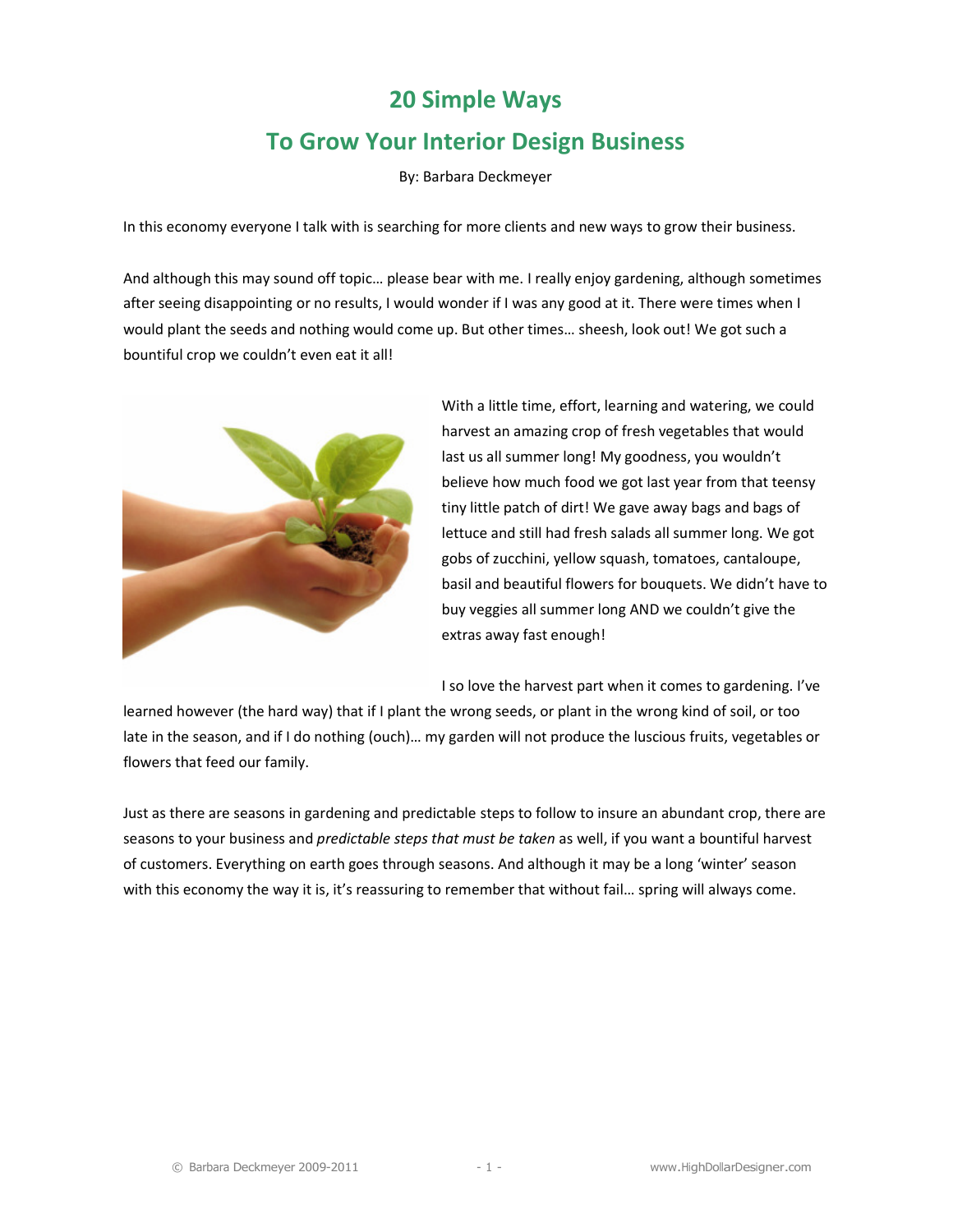## 20 Simple Ways To Grow Your Interior Design Business

By: Barbara Deckmeyer

In this economy everyone I talk with is searching for more clients and new ways to grow their business.

And although this may sound off topic… please bear with me. I really enjoy gardening, although sometimes after seeing disappointing or no results, I would wonder if I was any good at it. There were times when I would plant the seeds and nothing would come up. But other times… sheesh, look out! We got such a bountiful crop we couldn't even eat it all!



With a little time, effort, learning and watering, we could harvest an amazing crop of fresh vegetables that would last us all summer long! My goodness, you wouldn't believe how much food we got last year from that teensy tiny little patch of dirt! We gave away bags and bags of lettuce and still had fresh salads all summer long. We got gobs of zucchini, yellow squash, tomatoes, cantaloupe, basil and beautiful flowers for bouquets. We didn't have to buy veggies all summer long AND we couldn't give the extras away fast enough!

I so love the harvest part when it comes to gardening. I've

learned however (the hard way) that if I plant the wrong seeds, or plant in the wrong kind of soil, or too late in the season, and if I do nothing (ouch)… my garden will not produce the luscious fruits, vegetables or flowers that feed our family.

Just as there are seasons in gardening and predictable steps to follow to insure an abundant crop, there are seasons to your business and predictable steps that must be taken as well, if you want a bountiful harvest of customers. Everything on earth goes through seasons. And although it may be a long 'winter' season with this economy the way it is, it's reassuring to remember that without fail... spring will always come.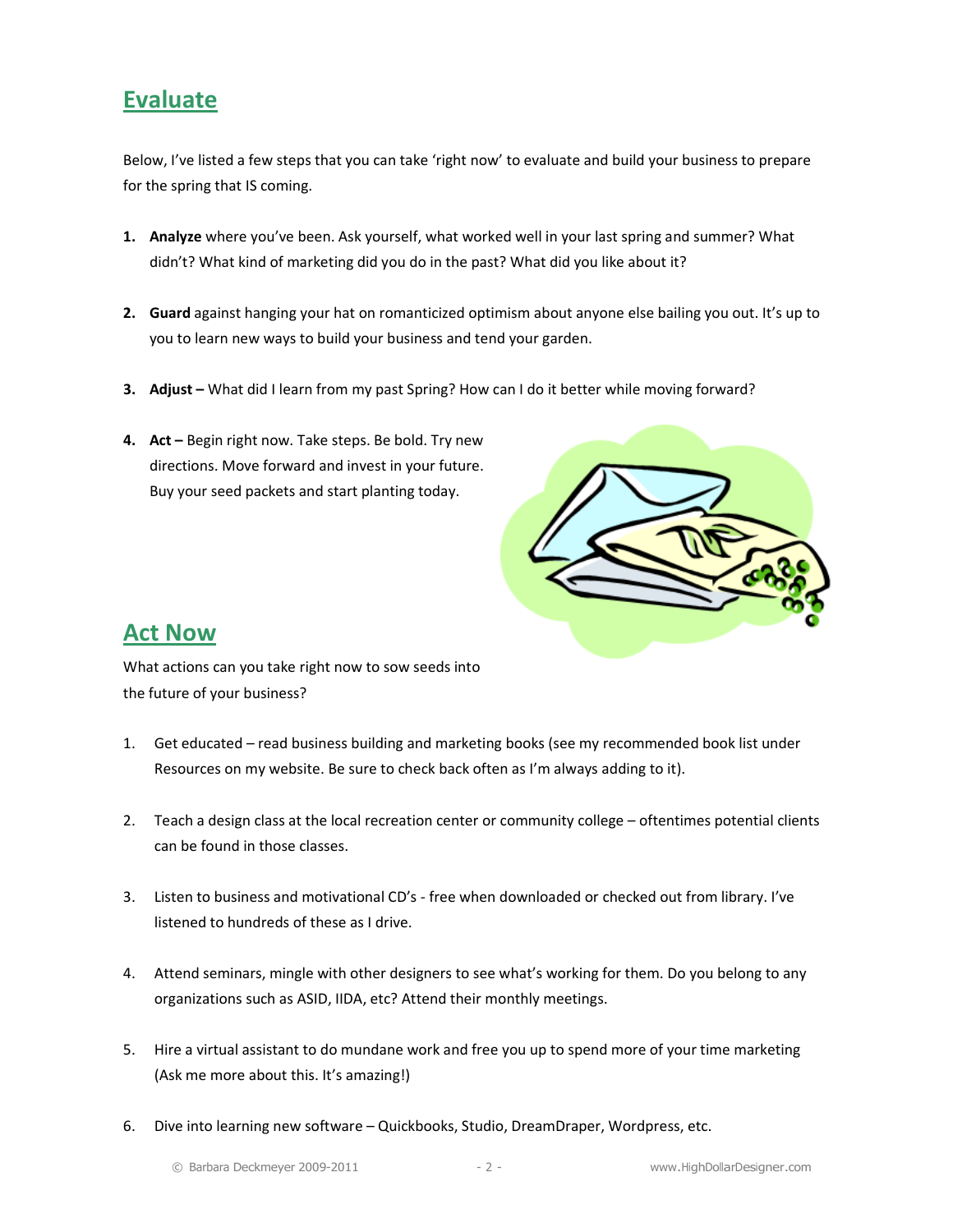## **Evaluate**

Below, I've listed a few steps that you can take 'right now' to evaluate and build your business to prepare for the spring that IS coming.

- 1. Analyze where you've been. Ask yourself, what worked well in your last spring and summer? What didn't? What kind of marketing did you do in the past? What did you like about it?
- 2. Guard against hanging your hat on romanticized optimism about anyone else bailing you out. It's up to you to learn new ways to build your business and tend your garden.
- 3. Adjust What did I learn from my past Spring? How can I do it better while moving forward?
- 4. Act Begin right now. Take steps. Be bold. Try new directions. Move forward and invest in your future. Buy your seed packets and start planting today.



## Act Now

What actions can you take right now to sow seeds into the future of your business?

- 1. Get educated read business building and marketing books (see my recommended book list under Resources on my website. Be sure to check back often as I'm always adding to it).
- 2. Teach a design class at the local recreation center or community college oftentimes potential clients can be found in those classes.
- 3. Listen to business and motivational CD's free when downloaded or checked out from library. I've listened to hundreds of these as I drive.
- 4. Attend seminars, mingle with other designers to see what's working for them. Do you belong to any organizations such as ASID, IIDA, etc? Attend their monthly meetings.
- 5. Hire a virtual assistant to do mundane work and free you up to spend more of your time marketing (Ask me more about this. It's amazing!)
- 6. Dive into learning new software Quickbooks, Studio, DreamDraper, Wordpress, etc.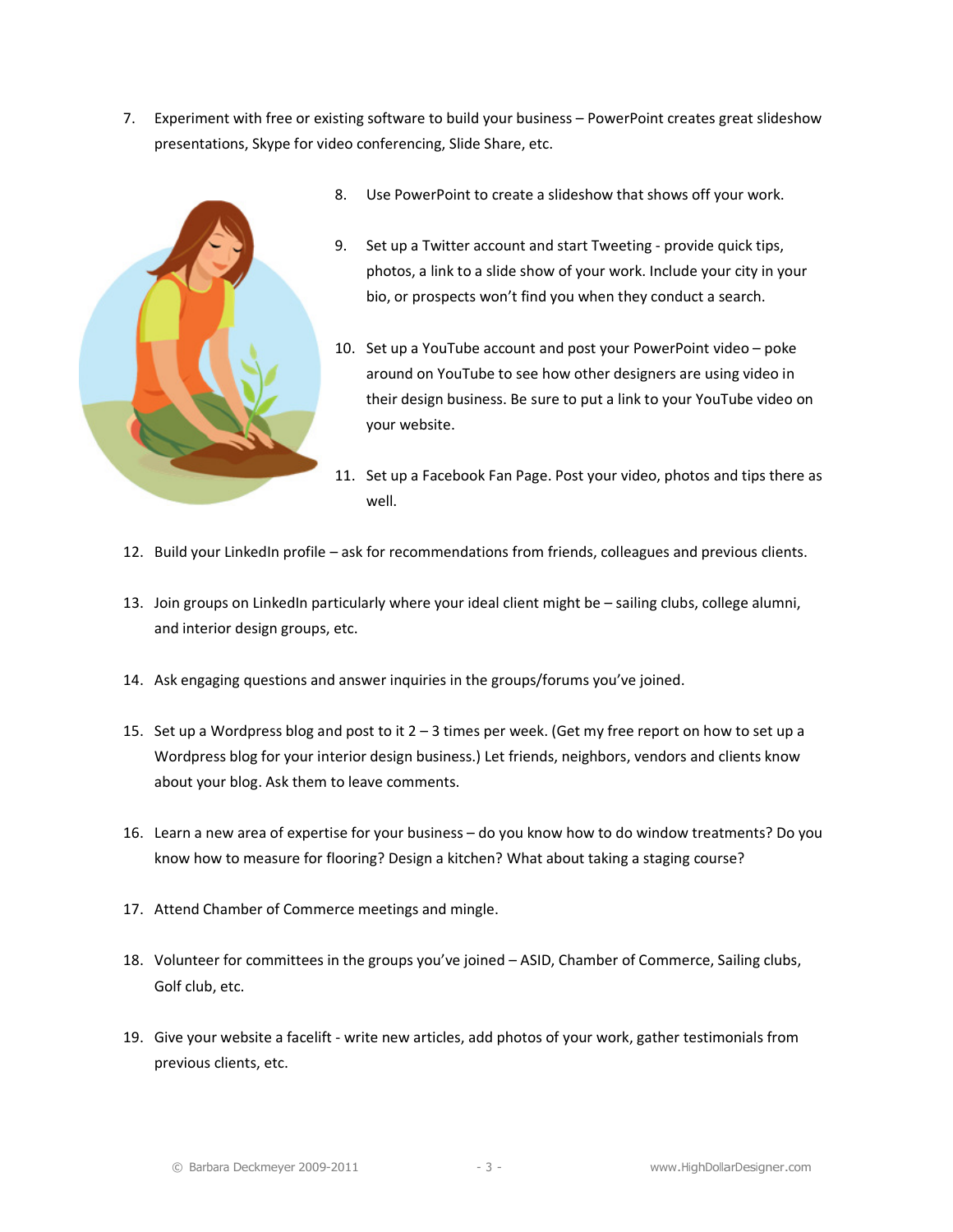7. Experiment with free or existing software to build your business – PowerPoint creates great slideshow presentations, Skype for video conferencing, Slide Share, etc.



- 8. Use PowerPoint to create a slideshow that shows off your work.
- 9. Set up a Twitter account and start Tweeting provide quick tips, photos, a link to a slide show of your work. Include your city in your bio, or prospects won't find you when they conduct a search.
- 10. Set up a YouTube account and post your PowerPoint video poke around on YouTube to see how other designers are using video in their design business. Be sure to put a link to your YouTube video on your website.
- 11. Set up a Facebook Fan Page. Post your video, photos and tips there as well.
- 12. Build your LinkedIn profile ask for recommendations from friends, colleagues and previous clients.
- 13. Join groups on LinkedIn particularly where your ideal client might be sailing clubs, college alumni, and interior design groups, etc.
- 14. Ask engaging questions and answer inquiries in the groups/forums you've joined.
- 15. Set up a Wordpress blog and post to it 2 3 times per week. (Get my free report on how to set up a Wordpress blog for your interior design business.) Let friends, neighbors, vendors and clients know about your blog. Ask them to leave comments.
- 16. Learn a new area of expertise for your business do you know how to do window treatments? Do you know how to measure for flooring? Design a kitchen? What about taking a staging course?
- 17. Attend Chamber of Commerce meetings and mingle.
- 18. Volunteer for committees in the groups you've joined ASID, Chamber of Commerce, Sailing clubs, Golf club, etc.
- 19. Give your website a facelift write new articles, add photos of your work, gather testimonials from previous clients, etc.